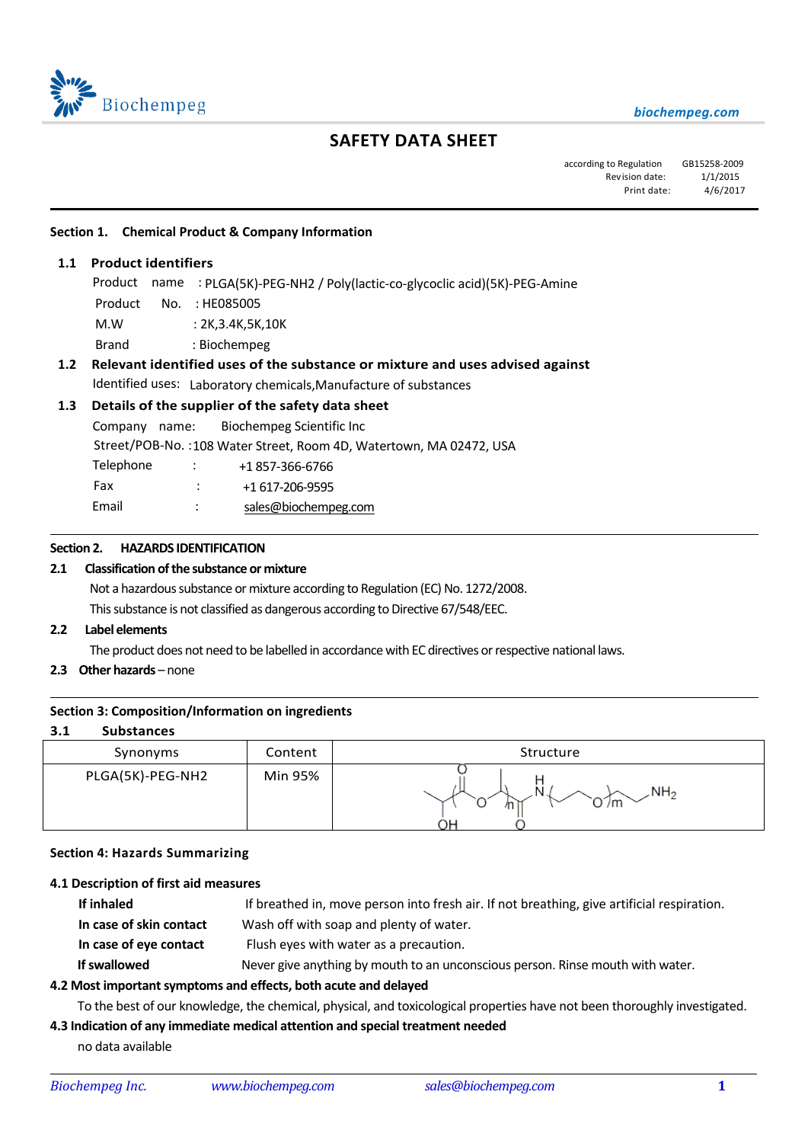

# **SAFETY DATA SHEET**

| according to Regulation GB15258-2009 |          |
|--------------------------------------|----------|
| Revision date:                       | 1/1/2015 |
| Print date:                          | 4/6/2017 |

#### **Section 1. Chemical Product & Company Information**

**1.1 Product identifiers**

֦

 $\overline{\phantom{0}}$ 

 $\overline{a}$ 

- Product name : PLGA(5K)-PEG-NH2 / Poly(lactic-co-glycoclic acid)(5K)-PEG-Amine
- Product No. : HE085005
- M.W : 2K,3.4K,5K,10K
- Brand : Biochempeg

## **1.2 Relevant identified uses of the substance or mixture and uses advised against** Identified uses: Laboratory chemicals,Manufacture of substances

## **1.3 Details of the supplier of the safety data sheet**

Company name: Biochempeg Scientific Inc Street/POB-No. :108 Water Street, Room 4D, Watertown, MA 02472, USA Telephone : +1857-366-6766 Fax : +1 617-206-9595 Email : [sales@biochempeg.com](mailto:sales@biochempeg.com)

## **Section 2. HAZARDS IDENTIFICATION**

#### **2.1 Classification of the substance or mixture**

Not a hazardous substance or mixture according to Regulation (EC) No. 1272/2008.

This substance is not classified as dangerous according to Directive 67/548/EEC.

## **2.2 Label elements**

The product does not need to be labelled in accordance with EC directives or respective national laws.

**2.3 Other hazards** – none

#### **Section 3: Composition/Information on ingredients**

#### **3.1 Substances**

| Synonyms         | Content | Structure                        |
|------------------|---------|----------------------------------|
| PLGA(5K)-PEG-NH2 | Min 95% | NH <sub>2</sub><br>N<br>/m<br>℩⊢ |

#### **Section 4: Hazards Summarizing**

#### **4.1 Description of first aid measures**

| If inhaled              | If breathed in, move person into fresh air. If not breathing, give artificial respiration. |
|-------------------------|--------------------------------------------------------------------------------------------|
| In case of skin contact | Wash off with soap and plenty of water.                                                    |
| In case of eye contact  | Flush eyes with water as a precaution.                                                     |
| If swallowed            | Never give anything by mouth to an unconscious person. Rinse mouth with water.             |

## **4.2 Most important symptoms and effects, both acute and delayed**

To the best of our knowledge, the chemical, physical, and toxicological properties have not been thoroughly investigated.

## **4.3 Indication of any immediate medical attention and special treatment needed**

no data available

 $\overline{a}$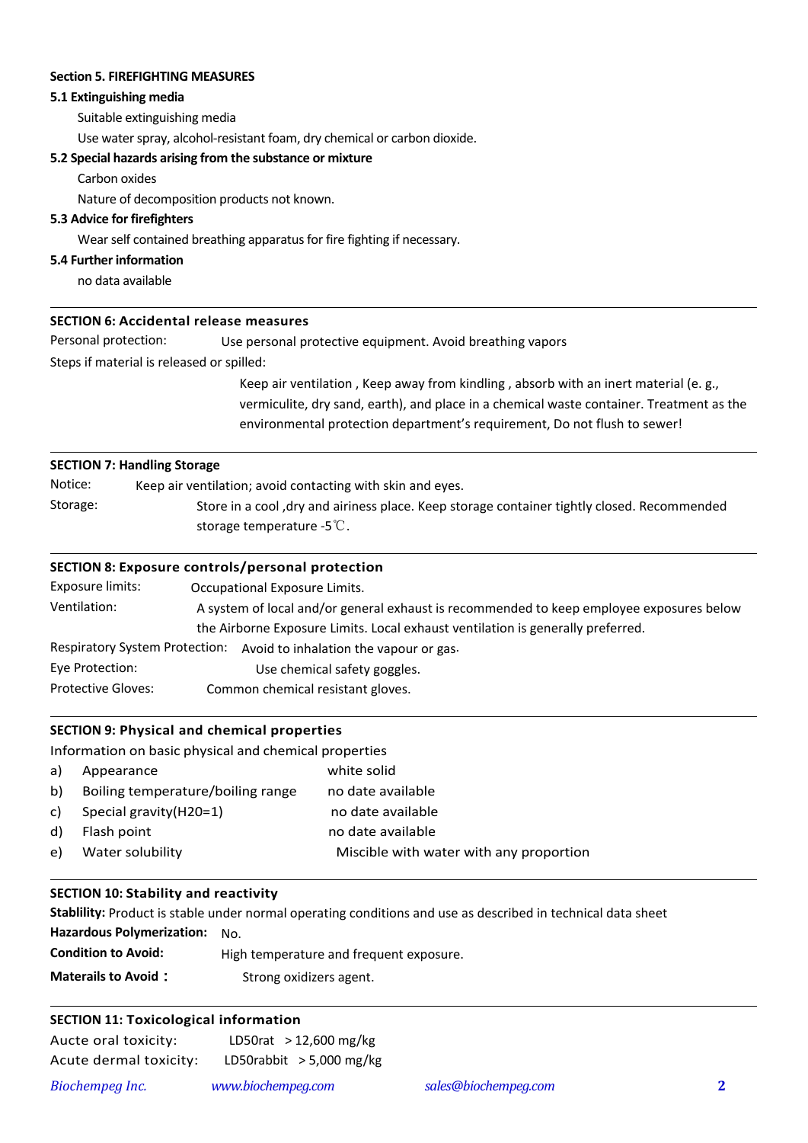#### **Section 5. FIREFIGHTING MEASURES**

## **5.1 Extinguishing media**

Suitable extinguishing media

Use water spray, alcohol-resistant foam, dry chemical or carbon dioxide.

#### **5.2 Special hazards arising from the substance or mixture**

Carbon oxides

Nature of decomposition products not known.

## **5.3 Advice for firefighters**

Wear self contained breathing apparatus for fire fighting if necessary.

## **5.4 Further information**

 $\overline{a}$ 

 $\overline{a}$ 

 $\overline{a}$ 

 $\overline{a}$ 

 $\overline{a}$ 

 $\overline{a}$ 

no data available

## **SECTION 6: Accidental release measures**

Personal protection: Use personal protective equipment. Avoid breathing vapors

Steps if material is released or spilled:

Keep air ventilation , Keep away from kindling , absorb with an inert material (e. g., vermiculite, dry sand, earth), and place in a chemical waste container. Treatment as the environmental protection department's requirement, Do not flush to sewer!

#### **SECTION 7: Handling Storage**

| Notice:  | Keep air ventilation; avoid contacting with skin and eyes.                                  |
|----------|---------------------------------------------------------------------------------------------|
| Storage: | Store in a cool, dry and airiness place. Keep storage container tightly closed. Recommended |
|          | storage temperature -5 $\mathbb{C}$ .                                                       |

#### **SECTION 8: Exposure controls/personal protection**

| Exposure limits:                                                                | Occupational Exposure Limits.                                                            |  |  |
|---------------------------------------------------------------------------------|------------------------------------------------------------------------------------------|--|--|
| Ventilation:                                                                    | A system of local and/or general exhaust is recommended to keep employee exposures below |  |  |
| the Airborne Exposure Limits. Local exhaust ventilation is generally preferred. |                                                                                          |  |  |
| <b>Respiratory System Protection:</b>                                           | Avoid to inhalation the vapour or gas.                                                   |  |  |
| Eye Protection:                                                                 | Use chemical safety goggles.                                                             |  |  |
| <b>Protective Gloves:</b><br>Common chemical resistant gloves.                  |                                                                                          |  |  |

#### **SECTION 9: Physical and chemical properties**

Information on basic physical and chemical properties

| a) | Appearance                        | white solid                             |
|----|-----------------------------------|-----------------------------------------|
| b) | Boiling temperature/boiling range | no date available                       |
| C) | Special gravity (H20=1)           | no date available                       |
| d) | Flash point                       | no date available                       |
| e) | Water solubility                  | Miscible with water with any proportion |
|    |                                   |                                         |

## **SECTION 10: Stability and reactivity**

**Stablility:** Product is stable under normal operating conditions and use as described in technical data sheet **Hazardous Polymerization:** No. **Condition to Avoid:** High temperature and frequent exposure. **Materails to Avoid:** Strong oxidizers agent.

## **SECTION 11: Toxicological information**

| Aucte oral toxicity:   | LD50rat $>$ 12,600 mg/kg   |                      |  |
|------------------------|----------------------------|----------------------|--|
| Acute dermal toxicity: | LD50rabbit $>$ 5,000 mg/kg |                      |  |
| Biochempeg Inc.        | www.biochempeg.com         | sales@biochempeg.com |  |